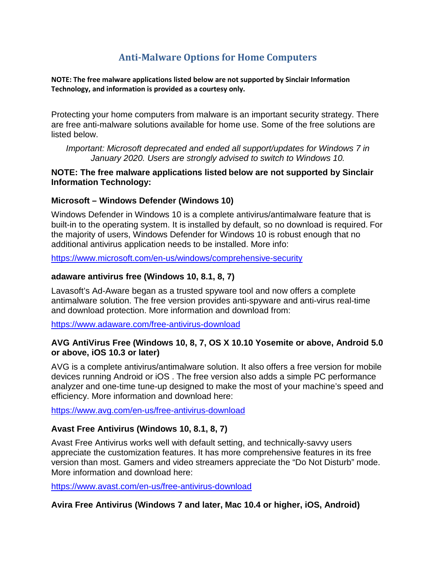# **Anti-Malware Options for Home Computers**

**NOTE: The free malware applications listed below are not supported by Sinclair Information Technology, and information is provided as a courtesy only.**

Protecting your home computers from malware is an important security strategy. There are free anti-malware solutions available for home use. Some of the free solutions are listed below.

*Important: Microsoft deprecated and ended all support/updates for Windows 7 in January 2020. Users are strongly advised to switch to Windows 10.*

### **NOTE: The free malware applications listed below are not supported by Sinclair Information Technology:**

## **Microsoft – Windows Defender (Windows 10)**

Windows Defender in Windows 10 is a complete antivirus/antimalware feature that is built-in to the operating system. It is installed by default, so no download is required. For the majority of users, Windows Defender for Windows 10 is robust enough that no additional antivirus application needs to be installed. More info:

<https://www.microsoft.com/en-us/windows/comprehensive-security>

#### **adaware antivirus free (Windows 10, 8.1, 8, 7)**

Lavasoft's Ad-Aware began as a trusted spyware tool and now offers a complete antimalware solution. The free version provides anti-spyware and anti-virus real-time and download protection. More information and download from:

<https://www.adaware.com/free-antivirus-download>

#### **AVG AntiVirus Free (Windows 10, 8, 7, OS X 10.10 Yosemite or above, Android 5.0 or above, iOS 10.3 or later)**

AVG is a complete antivirus/antimalware solution. It also offers a free version for mobile devices running Android or iOS . The free version also adds a simple PC performance analyzer and one-time tune-up designed to make the most of your machine's speed and efficiency. More information and download here:

<https://www.avg.com/en-us/free-antivirus-download>

# **Avast Free Antivirus (Windows 10, 8.1, 8, 7)**

Avast Free Antivirus works well with default setting, and technically-savvy users appreciate the customization features. It has more comprehensive features in its free version than most. Gamers and video streamers appreciate the "Do Not Disturb" mode. More information and download here:

<https://www.avast.com/en-us/free-antivirus-download>

# **Avira Free Antivirus (Windows 7 and later, Mac 10.4 or higher, iOS, Android)**